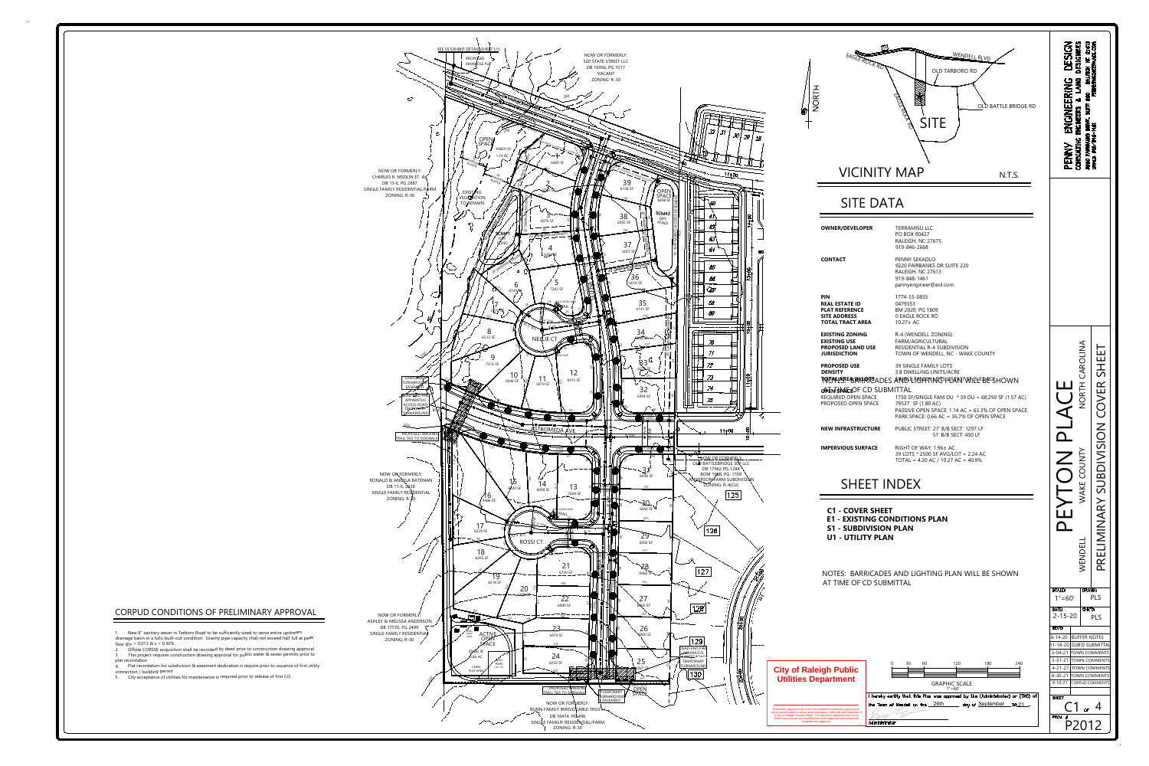1. New 8" sanitary sewer in Tarboro Road to be sufficiently sized to serve entire upstream drainage basin in a fullu built-out condition. Gravity pipe capacity shall not exceed half full at peak flow  $@n = 0.013$  & s = 0.50%



2. Offsite CORSSE acquisition shall be recorded by deed prior to construction drawing approval 3. This project requires construction drawing approval for public water & sewer permits prior to

## CORPUD CONDITIONS OF PRELIMINARY APPROVAL

plat recordation 4. Plat recordation for subdivision & easement dedication is require prior to issuance of first utility connection / building permit

5. City acceptance of utilities for maintenance is required prior to release of first CO